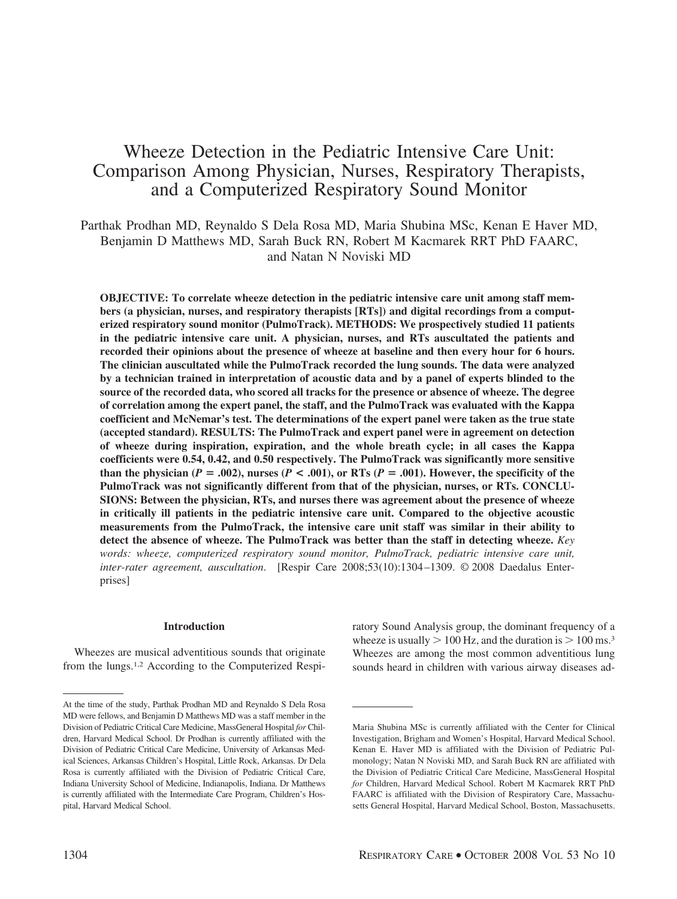# Wheeze Detection in the Pediatric Intensive Care Unit: Comparison Among Physician, Nurses, Respiratory Therapists, and a Computerized Respiratory Sound Monitor

Parthak Prodhan MD, Reynaldo S Dela Rosa MD, Maria Shubina MSc, Kenan E Haver MD, Benjamin D Matthews MD, Sarah Buck RN, Robert M Kacmarek RRT PhD FAARC, and Natan N Noviski MD

**OBJECTIVE: To correlate wheeze detection in the pediatric intensive care unit among staff members (a physician, nurses, and respiratory therapists [RTs]) and digital recordings from a computerized respiratory sound monitor (PulmoTrack). METHODS: We prospectively studied 11 patients in the pediatric intensive care unit. A physician, nurses, and RTs auscultated the patients and recorded their opinions about the presence of wheeze at baseline and then every hour for 6 hours. The clinician auscultated while the PulmoTrack recorded the lung sounds. The data were analyzed by a technician trained in interpretation of acoustic data and by a panel of experts blinded to the source of the recorded data, who scored all tracks for the presence or absence of wheeze. The degree of correlation among the expert panel, the staff, and the PulmoTrack was evaluated with the Kappa coefficient and McNemar's test. The determinations of the expert panel were taken as the true state (accepted standard). RESULTS: The PulmoTrack and expert panel were in agreement on detection of wheeze during inspiration, expiration, and the whole breath cycle; in all cases the Kappa coefficients were 0.54, 0.42, and 0.50 respectively. The PulmoTrack was significantly more sensitive than the physician (** $P = .002$ **), nurses (** $P < .001$ **), or RTs (** $P = .001$ **). However, the specificity of the PulmoTrack was not significantly different from that of the physician, nurses, or RTs. CONCLU-SIONS: Between the physician, RTs, and nurses there was agreement about the presence of wheeze in critically ill patients in the pediatric intensive care unit. Compared to the objective acoustic measurements from the PulmoTrack, the intensive care unit staff was similar in their ability to detect the absence of wheeze. The PulmoTrack was better than the staff in detecting wheeze.** *Key words: wheeze, computerized respiratory sound monitor, PulmoTrack, pediatric intensive care unit, inter-rater agreement, auscultation*. [Respir Care 2008;53(10):1304 –1309. © 2008 Daedalus Enterprises]

## **Introduction**

Wheezes are musical adventitious sounds that originate from the lungs.1,2 According to the Computerized Respiratory Sound Analysis group, the dominant frequency of a wheeze is usually  $> 100$  Hz, and the duration is  $> 100$  ms.<sup>3</sup> Wheezes are among the most common adventitious lung sounds heard in children with various airway diseases ad-

At the time of the study, Parthak Prodhan MD and Reynaldo S Dela Rosa MD were fellows, and Benjamin D Matthews MD was a staff member in the Division of Pediatric Critical Care Medicine, MassGeneral Hospital *for* Children, Harvard Medical School. Dr Prodhan is currently affiliated with the Division of Pediatric Critical Care Medicine, University of Arkansas Medical Sciences, Arkansas Children's Hospital, Little Rock, Arkansas. Dr Dela Rosa is currently affiliated with the Division of Pediatric Critical Care, Indiana University School of Medicine, Indianapolis, Indiana. Dr Matthews is currently affiliated with the Intermediate Care Program, Children's Hospital, Harvard Medical School.

Maria Shubina MSc is currently affiliated with the Center for Clinical Investigation, Brigham and Women's Hospital, Harvard Medical School. Kenan E. Haver MD is affiliated with the Division of Pediatric Pulmonology; Natan N Noviski MD, and Sarah Buck RN are affiliated with the Division of Pediatric Critical Care Medicine, MassGeneral Hospital *for* Children, Harvard Medical School. Robert M Kacmarek RRT PhD FAARC is affiliated with the Division of Respiratory Care, Massachusetts General Hospital, Harvard Medical School, Boston, Massachusetts.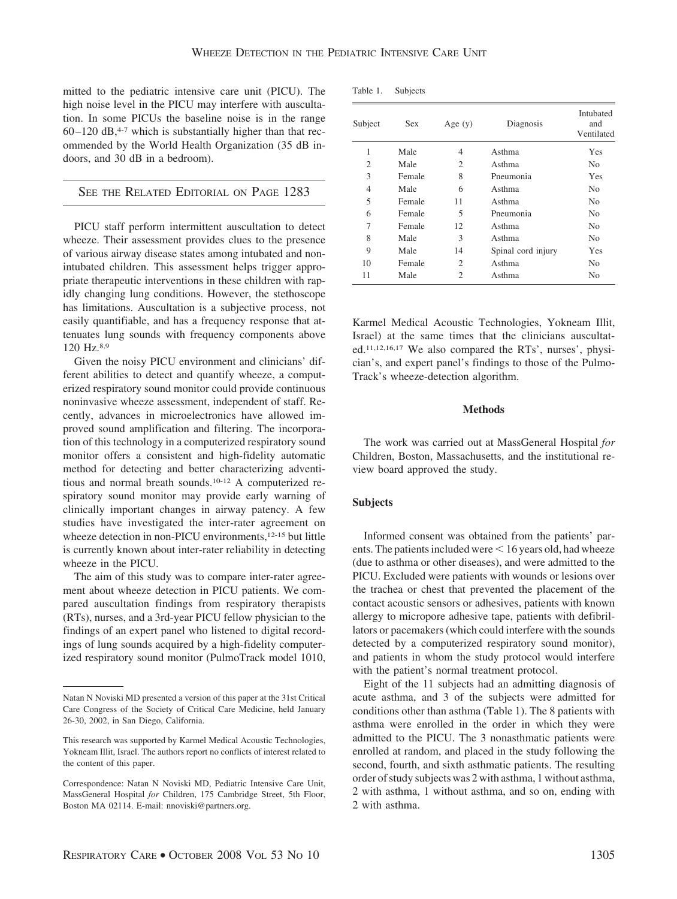mitted to the pediatric intensive care unit (PICU). The high noise level in the PICU may interfere with auscultation. In some PICUs the baseline noise is in the range  $60 - 120$  dB,<sup>4-7</sup> which is substantially higher than that recommended by the World Health Organization (35 dB indoors, and 30 dB in a bedroom).

SEE THE RELATED EDITORIAL ON PAGE 1283

PICU staff perform intermittent auscultation to detect wheeze. Their assessment provides clues to the presence of various airway disease states among intubated and nonintubated children. This assessment helps trigger appropriate therapeutic interventions in these children with rapidly changing lung conditions. However, the stethoscope has limitations. Auscultation is a subjective process, not easily quantifiable, and has a frequency response that attenuates lung sounds with frequency components above 120 Hz.8,9

Given the noisy PICU environment and clinicians' different abilities to detect and quantify wheeze, a computerized respiratory sound monitor could provide continuous noninvasive wheeze assessment, independent of staff. Recently, advances in microelectronics have allowed improved sound amplification and filtering. The incorporation of this technology in a computerized respiratory sound monitor offers a consistent and high-fidelity automatic method for detecting and better characterizing adventitious and normal breath sounds.10-12 A computerized respiratory sound monitor may provide early warning of clinically important changes in airway patency. A few studies have investigated the inter-rater agreement on wheeze detection in non-PICU environments,<sup>12-15</sup> but little is currently known about inter-rater reliability in detecting wheeze in the PICU.

The aim of this study was to compare inter-rater agreement about wheeze detection in PICU patients. We compared auscultation findings from respiratory therapists (RTs), nurses, and a 3rd-year PICU fellow physician to the findings of an expert panel who listened to digital recordings of lung sounds acquired by a high-fidelity computerized respiratory sound monitor (PulmoTrack model 1010,

| Table 1. | Subjects |
|----------|----------|
|----------|----------|

| Subject        | Sex    | Age $(y)$      | Diagnosis          | Intubated<br>and<br>Ventilated |
|----------------|--------|----------------|--------------------|--------------------------------|
| 1              | Male   | 4              | Asthma             | Yes                            |
| $\overline{2}$ | Male   | $\overline{c}$ | Asthma             | No.                            |
| 3              | Female | 8              | Pneumonia          | Yes                            |
| $\overline{4}$ | Male   | 6              | Asthma             | N <sub>0</sub>                 |
| 5              | Female | 11             | Asthma             | N <sub>0</sub>                 |
| 6              | Female | 5              | Pneumonia          | N <sub>0</sub>                 |
| 7              | Female | 12             | Asthma             | N <sub>0</sub>                 |
| 8              | Male   | 3              | Asthma             | N <sub>0</sub>                 |
| 9              | Male   | 14             | Spinal cord injury | Yes                            |
| 10             | Female | $\overline{c}$ | Asthma             | N <sub>0</sub>                 |
| 11             | Male   | 2              | Asthma             | N <sub>0</sub>                 |

Karmel Medical Acoustic Technologies, Yokneam Illit, Israel) at the same times that the clinicians auscultated.11,12,16,17 We also compared the RTs', nurses', physician's, and expert panel's findings to those of the Pulmo-Track's wheeze-detection algorithm.

## **Methods**

The work was carried out at MassGeneral Hospital *for* Children, Boston, Massachusetts, and the institutional review board approved the study.

## **Subjects**

Informed consent was obtained from the patients' parents. The patients included were  $\leq 16$  years old, had wheeze (due to asthma or other diseases), and were admitted to the PICU. Excluded were patients with wounds or lesions over the trachea or chest that prevented the placement of the contact acoustic sensors or adhesives, patients with known allergy to micropore adhesive tape, patients with defibrillators or pacemakers (which could interfere with the sounds detected by a computerized respiratory sound monitor), and patients in whom the study protocol would interfere with the patient's normal treatment protocol.

Eight of the 11 subjects had an admitting diagnosis of acute asthma, and 3 of the subjects were admitted for conditions other than asthma (Table 1). The 8 patients with asthma were enrolled in the order in which they were admitted to the PICU. The 3 nonasthmatic patients were enrolled at random, and placed in the study following the second, fourth, and sixth asthmatic patients. The resulting order of study subjects was 2 with asthma, 1 without asthma, 2 with asthma, 1 without asthma, and so on, ending with 2 with asthma.

Natan N Noviski MD presented a version of this paper at the 31st Critical Care Congress of the Society of Critical Care Medicine, held January 26-30, 2002, in San Diego, California.

This research was supported by Karmel Medical Acoustic Technologies, Yokneam Illit, Israel. The authors report no conflicts of interest related to the content of this paper.

Correspondence: Natan N Noviski MD, Pediatric Intensive Care Unit, MassGeneral Hospital *for* Children, 175 Cambridge Street, 5th Floor, Boston MA 02114. E-mail: nnoviski@partners.org.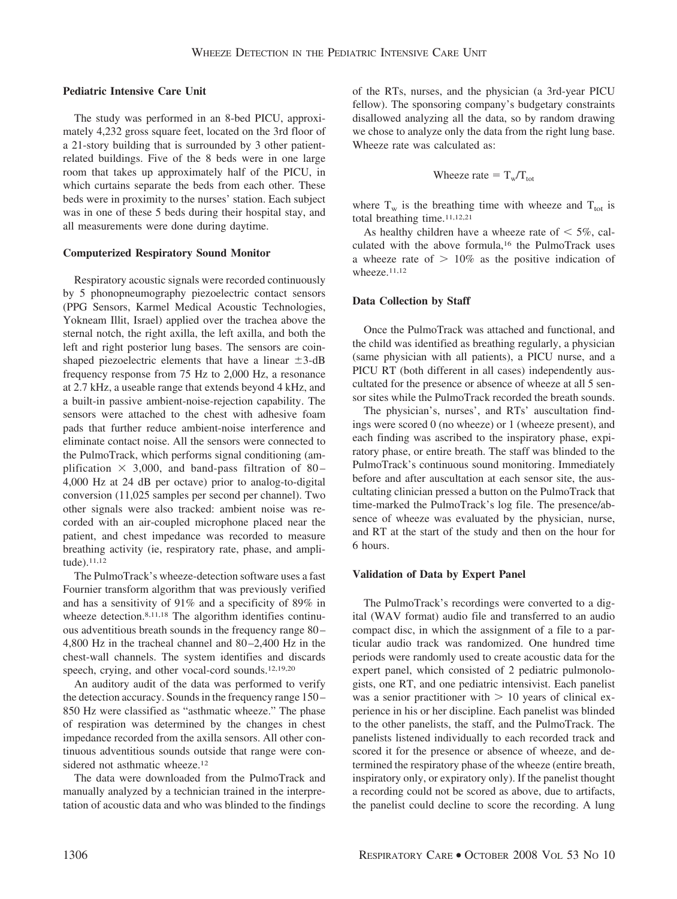## **Pediatric Intensive Care Unit**

The study was performed in an 8-bed PICU, approximately 4,232 gross square feet, located on the 3rd floor of a 21-story building that is surrounded by 3 other patientrelated buildings. Five of the 8 beds were in one large room that takes up approximately half of the PICU, in which curtains separate the beds from each other. These beds were in proximity to the nurses' station. Each subject was in one of these 5 beds during their hospital stay, and all measurements were done during daytime.

#### **Computerized Respiratory Sound Monitor**

Respiratory acoustic signals were recorded continuously by 5 phonopneumography piezoelectric contact sensors (PPG Sensors, Karmel Medical Acoustic Technologies, Yokneam Illit, Israel) applied over the trachea above the sternal notch, the right axilla, the left axilla, and both the left and right posterior lung bases. The sensors are coinshaped piezoelectric elements that have a linear  $\pm$ 3-dB frequency response from 75 Hz to 2,000 Hz, a resonance at 2.7 kHz, a useable range that extends beyond 4 kHz, and a built-in passive ambient-noise-rejection capability. The sensors were attached to the chest with adhesive foam pads that further reduce ambient-noise interference and eliminate contact noise. All the sensors were connected to the PulmoTrack, which performs signal conditioning (amplification  $\times$  3,000, and band-pass filtration of 80-4,000 Hz at 24 dB per octave) prior to analog-to-digital conversion (11,025 samples per second per channel). Two other signals were also tracked: ambient noise was recorded with an air-coupled microphone placed near the patient, and chest impedance was recorded to measure breathing activity (ie, respiratory rate, phase, and amplitude).11,12

The PulmoTrack's wheeze-detection software uses a fast Fournier transform algorithm that was previously verified and has a sensitivity of 91% and a specificity of 89% in wheeze detection.<sup>8,11,18</sup> The algorithm identifies continuous adventitious breath sounds in the frequency range 80 – 4,800 Hz in the tracheal channel and 80 –2,400 Hz in the chest-wall channels. The system identifies and discards speech, crying, and other vocal-cord sounds.<sup>12,19,20</sup>

An auditory audit of the data was performed to verify the detection accuracy. Sounds in the frequency range 150 – 850 Hz were classified as "asthmatic wheeze." The phase of respiration was determined by the changes in chest impedance recorded from the axilla sensors. All other continuous adventitious sounds outside that range were considered not asthmatic wheeze.<sup>12</sup>

The data were downloaded from the PulmoTrack and manually analyzed by a technician trained in the interpretation of acoustic data and who was blinded to the findings of the RTs, nurses, and the physician (a 3rd-year PICU fellow). The sponsoring company's budgetary constraints disallowed analyzing all the data, so by random drawing we chose to analyze only the data from the right lung base. Wheeze rate was calculated as:

Whereze rate = 
$$
T_w/T_{tot}
$$

where  $T_w$  is the breathing time with wheeze and  $T_{tot}$  is total breathing time.11,12,21

As healthy children have a wheeze rate of  $\leq 5\%$ , calculated with the above formula,16 the PulmoTrack uses a wheeze rate of  $> 10\%$  as the positive indication of wheeze.11,12

#### **Data Collection by Staff**

Once the PulmoTrack was attached and functional, and the child was identified as breathing regularly, a physician (same physician with all patients), a PICU nurse, and a PICU RT (both different in all cases) independently auscultated for the presence or absence of wheeze at all 5 sensor sites while the PulmoTrack recorded the breath sounds.

The physician's, nurses', and RTs' auscultation findings were scored 0 (no wheeze) or 1 (wheeze present), and each finding was ascribed to the inspiratory phase, expiratory phase, or entire breath. The staff was blinded to the PulmoTrack's continuous sound monitoring. Immediately before and after auscultation at each sensor site, the auscultating clinician pressed a button on the PulmoTrack that time-marked the PulmoTrack's log file. The presence/absence of wheeze was evaluated by the physician, nurse, and RT at the start of the study and then on the hour for 6 hours.

## **Validation of Data by Expert Panel**

The PulmoTrack's recordings were converted to a digital (WAV format) audio file and transferred to an audio compact disc, in which the assignment of a file to a particular audio track was randomized. One hundred time periods were randomly used to create acoustic data for the expert panel, which consisted of 2 pediatric pulmonologists, one RT, and one pediatric intensivist. Each panelist was a senior practitioner with  $> 10$  years of clinical experience in his or her discipline. Each panelist was blinded to the other panelists, the staff, and the PulmoTrack. The panelists listened individually to each recorded track and scored it for the presence or absence of wheeze, and determined the respiratory phase of the wheeze (entire breath, inspiratory only, or expiratory only). If the panelist thought a recording could not be scored as above, due to artifacts, the panelist could decline to score the recording. A lung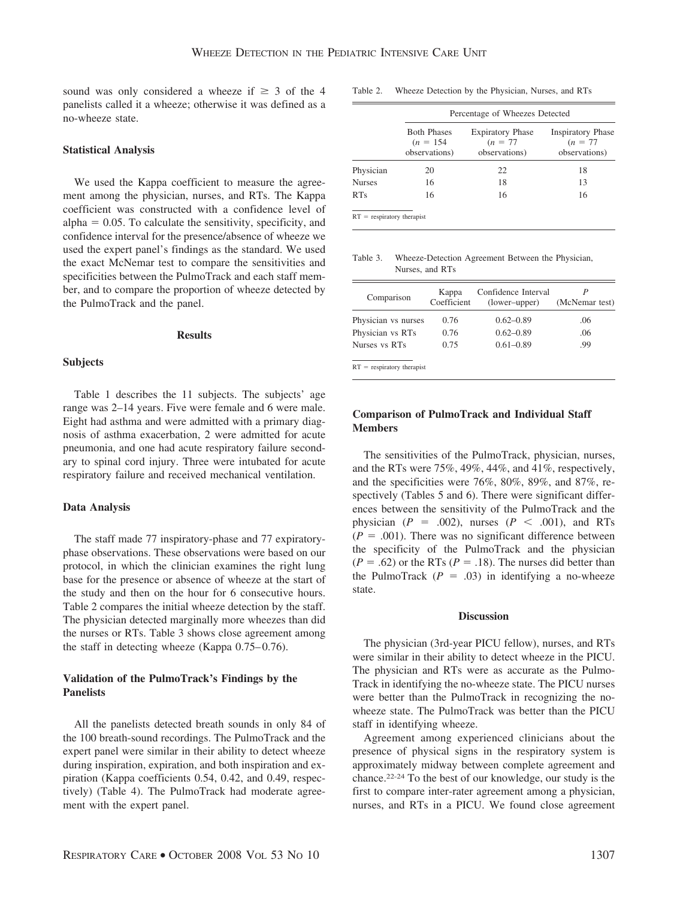sound was only considered a wheeze if  $\geq$  3 of the 4 panelists called it a wheeze; otherwise it was defined as a no-wheeze state.

## **Statistical Analysis**

We used the Kappa coefficient to measure the agreement among the physician, nurses, and RTs. The Kappa coefficient was constructed with a confidence level of  $alpha = 0.05$ . To calculate the sensitivity, specificity, and confidence interval for the presence/absence of wheeze we used the expert panel's findings as the standard. We used the exact McNemar test to compare the sensitivities and specificities between the PulmoTrack and each staff member, and to compare the proportion of wheeze detected by the PulmoTrack and the panel.

## **Results**

## **Subjects**

Table 1 describes the 11 subjects. The subjects' age range was 2–14 years. Five were female and 6 were male. Eight had asthma and were admitted with a primary diagnosis of asthma exacerbation, 2 were admitted for acute pneumonia, and one had acute respiratory failure secondary to spinal cord injury. Three were intubated for acute respiratory failure and received mechanical ventilation.

#### **Data Analysis**

The staff made 77 inspiratory-phase and 77 expiratoryphase observations. These observations were based on our protocol, in which the clinician examines the right lung base for the presence or absence of wheeze at the start of the study and then on the hour for 6 consecutive hours. Table 2 compares the initial wheeze detection by the staff. The physician detected marginally more wheezes than did the nurses or RTs. Table 3 shows close agreement among the staff in detecting wheeze (Kappa  $0.75-0.76$ ).

## **Validation of the PulmoTrack's Findings by the Panelists**

All the panelists detected breath sounds in only 84 of the 100 breath-sound recordings. The PulmoTrack and the expert panel were similar in their ability to detect wheeze during inspiration, expiration, and both inspiration and expiration (Kappa coefficients 0.54, 0.42, and 0.49, respectively) (Table 4). The PulmoTrack had moderate agreement with the expert panel.

Table 2. Wheeze Detection by the Physician, Nurses, and RTs

|                              |                                                    | Percentage of Wheezes Detected                         |                                                         |  |
|------------------------------|----------------------------------------------------|--------------------------------------------------------|---------------------------------------------------------|--|
|                              | <b>Both Phases</b><br>$(n = 154)$<br>observations) | <b>Expiratory Phase</b><br>$(n = 77)$<br>observations) | <b>Inspiratory Phase</b><br>$(n = 77)$<br>observations) |  |
| Physician                    | 20                                                 | 22                                                     | 18                                                      |  |
| <b>Nurses</b>                | 16                                                 | 18                                                     | 13                                                      |  |
| RTs                          | 16                                                 | 16                                                     | 16                                                      |  |
| $RT =$ respiratory therapist |                                                    |                                                        |                                                         |  |

Table 3. Wheeze-Detection Agreement Between the Physician, Nurses, and RTs

| Comparison                   | Kappa<br>Coefficient | Confidence Interval<br>(lower-upper) | (McNemar test) |
|------------------------------|----------------------|--------------------------------------|----------------|
| Physician vs nurses          | 0.76                 | $0.62 - 0.89$                        | .06            |
| Physician vs RTs             | 0.76                 | $0.62 - 0.89$                        | .06            |
| Nurses vs RTs                | 0.75                 | $0.61 - 0.89$                        | .99            |
| $RT$ = respiratory therapist |                      |                                      |                |

# **Comparison of PulmoTrack and Individual Staff Members**

The sensitivities of the PulmoTrack, physician, nurses, and the RTs were 75%, 49%, 44%, and 41%, respectively, and the specificities were 76%, 80%, 89%, and 87%, respectively (Tables 5 and 6). There were significant differences between the sensitivity of the PulmoTrack and the physician  $(P = .002)$ , nurses  $(P < .001)$ , and RTs  $(P = .001)$ . There was no significant difference between the specificity of the PulmoTrack and the physician  $(P = .62)$  or the RTs  $(P = .18)$ . The nurses did better than the PulmoTrack  $(P = .03)$  in identifying a no-wheeze state.

#### **Discussion**

The physician (3rd-year PICU fellow), nurses, and RTs were similar in their ability to detect wheeze in the PICU. The physician and RTs were as accurate as the Pulmo-Track in identifying the no-wheeze state. The PICU nurses were better than the PulmoTrack in recognizing the nowheeze state. The PulmoTrack was better than the PICU staff in identifying wheeze.

Agreement among experienced clinicians about the presence of physical signs in the respiratory system is approximately midway between complete agreement and chance.22-24 To the best of our knowledge, our study is the first to compare inter-rater agreement among a physician, nurses, and RTs in a PICU. We found close agreement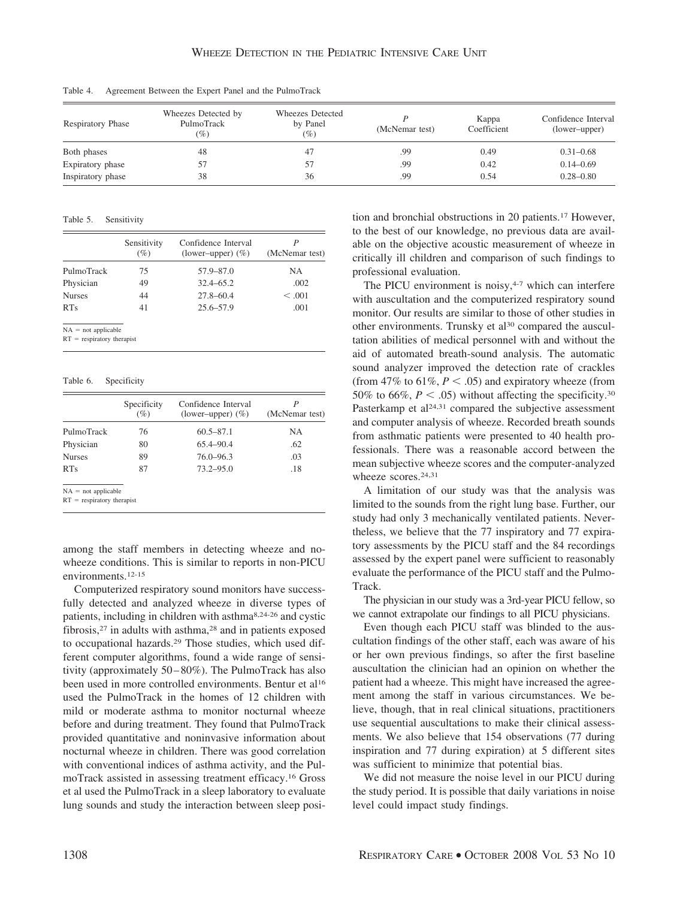| <b>Respiratory Phase</b> | Wheezes Detected by<br>PulmoTrack | Wheezes Detected<br>by Panel | (McNemar test) | Kappa<br>Coefficient | Confidence Interval<br>(lower-upper) |
|--------------------------|-----------------------------------|------------------------------|----------------|----------------------|--------------------------------------|
| Both phases              | (%)<br>48                         | (%)<br>47                    | .99            | 0.49                 | $0.31 - 0.68$                        |
| Expiratory phase         |                                   |                              | .99            | 0.42                 | $0.14 - 0.69$                        |
| Inspiratory phase        | 38                                | 36                           | .99            | 0.54                 | $0.28 - 0.80$                        |

Table 4. Agreement Between the Expert Panel and the PulmoTrack

#### Table 5. Sensitivity

|                                       | Sensitivity<br>(%) | Confidence Interval<br>(lower-upper) $(\% )$ | (McNemar test) |
|---------------------------------------|--------------------|----------------------------------------------|----------------|
| PulmoTrack                            | 75                 | 57.9-87.0                                    | NA             |
| Physician                             | 49                 | $32.4 - 65.2$                                | .002           |
| <b>Nurses</b>                         | 44                 | $27.8 - 60.4$                                | < 0.001        |
| RTs                                   | 41                 | $25.6 - 57.9$                                | .001           |
| $NA = not applicable$<br>$\mathbf{r}$ |                    |                                              |                |

 $RT$  = respiratory therapis

#### Table 6. Specificity

|                              | Specificity<br>(%) | Confidence Interval<br>(lower-upper) $(\%)$ | P<br>(McNemar test) |
|------------------------------|--------------------|---------------------------------------------|---------------------|
| PulmoTrack                   | 76                 | $60.5 - 87.1$                               | NA.                 |
| Physician                    | 80                 | $65.4 - 90.4$                               | .62                 |
| <b>Nurses</b>                | 89                 | $76.0 - 96.3$                               | .03                 |
| <b>RTs</b>                   | 87                 | $73.2 - 95.0$                               | .18                 |
| $NA = not applicable$        |                    |                                             |                     |
| $RT$ = respiratory therapist |                    |                                             |                     |

among the staff members in detecting wheeze and nowheeze conditions. This is similar to reports in non-PICU environments.12-15

Computerized respiratory sound monitors have successfully detected and analyzed wheeze in diverse types of patients, including in children with asthma8,24-26 and cystic fibrosis,27 in adults with asthma,28 and in patients exposed to occupational hazards.29 Those studies, which used different computer algorithms, found a wide range of sensitivity (approximately 50 – 80%). The PulmoTrack has also been used in more controlled environments. Bentur et al<sup>16</sup> used the PulmoTrack in the homes of 12 children with mild or moderate asthma to monitor nocturnal wheeze before and during treatment. They found that PulmoTrack provided quantitative and noninvasive information about nocturnal wheeze in children. There was good correlation with conventional indices of asthma activity, and the PulmoTrack assisted in assessing treatment efficacy.16 Gross et al used the PulmoTrack in a sleep laboratory to evaluate lung sounds and study the interaction between sleep position and bronchial obstructions in 20 patients.17 However, to the best of our knowledge, no previous data are available on the objective acoustic measurement of wheeze in critically ill children and comparison of such findings to professional evaluation.

The PICU environment is noisy, $4-7$  which can interfere with auscultation and the computerized respiratory sound monitor. Our results are similar to those of other studies in other environments. Trunsky et al<sup>30</sup> compared the auscultation abilities of medical personnel with and without the aid of automated breath-sound analysis. The automatic sound analyzer improved the detection rate of crackles (from 47% to 61%,  $P < .05$ ) and expiratory wheeze (from 50% to 66%,  $P < .05$ ) without affecting the specificity.<sup>30</sup> Pasterkamp et al<sup>24,31</sup> compared the subjective assessment and computer analysis of wheeze. Recorded breath sounds from asthmatic patients were presented to 40 health professionals. There was a reasonable accord between the mean subjective wheeze scores and the computer-analyzed wheeze scores.<sup>24,31</sup>

A limitation of our study was that the analysis was limited to the sounds from the right lung base. Further, our study had only 3 mechanically ventilated patients. Nevertheless, we believe that the 77 inspiratory and 77 expiratory assessments by the PICU staff and the 84 recordings assessed by the expert panel were sufficient to reasonably evaluate the performance of the PICU staff and the Pulmo-Track.

The physician in our study was a 3rd-year PICU fellow, so we cannot extrapolate our findings to all PICU physicians.

Even though each PICU staff was blinded to the auscultation findings of the other staff, each was aware of his or her own previous findings, so after the first baseline auscultation the clinician had an opinion on whether the patient had a wheeze. This might have increased the agreement among the staff in various circumstances. We believe, though, that in real clinical situations, practitioners use sequential auscultations to make their clinical assessments. We also believe that 154 observations (77 during inspiration and 77 during expiration) at 5 different sites was sufficient to minimize that potential bias.

We did not measure the noise level in our PICU during the study period. It is possible that daily variations in noise level could impact study findings.